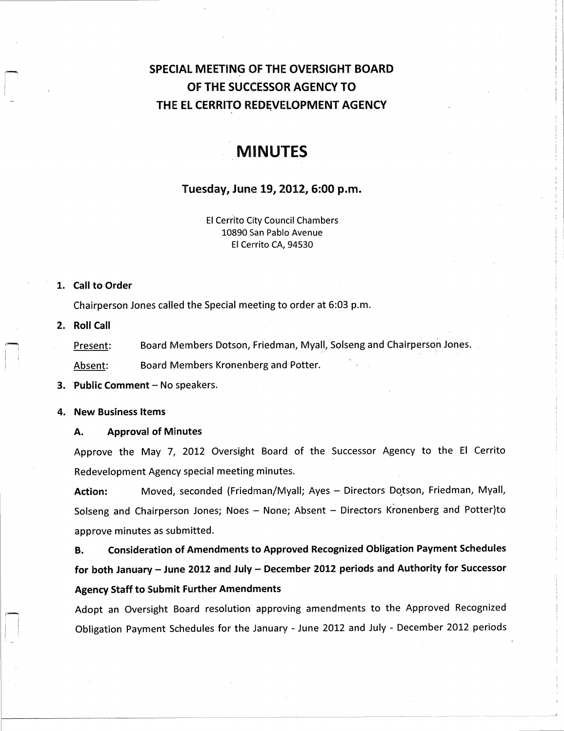## SPECIAL MEETING OF THE OVERSIGHT BOARD OF THE SUCCESSOR AGENCY TO THE EL CERRITO REDEVELOPMENT AGENCY

# MiNUTES

### Tuesday, June 19, 2012, 6:00 p. m.

El Cerrito City Council Chambers 10890 San Pablo Avenue El Cerrito CA, 94530

#### 1. Call to Order

Chairperson Jones called the Special meeting to order at 6:03 p.m.

2. Roll Call

Present: Board Members Dotson, Friedman, Myall, Solseng and Chairperson Jones. Absent: Board Members Kronenberg and Potter.

3. Public Comment— No speakers.

#### 4. New Business Items

### A. Approval of Minutes

Approve the May 7, 2012 Oversight Board of the Successor Agency to the El Cerrito Redevelopment Agency special meeting minutes.

Action: Moved, seconded (Friedman/Myall; Ayes - Directors Dotson, Friedman, Myall, Solseng and Chairperson Jones; Noes -- None; Absent -- Directors Kronenberg and Potter)to approve minutes as submitted.

B. Consideration of Amendments to Approved Recognized Obligation Payment Schedules for both January - June 2012 and July - December 2012 periods and Authority for Successor Agency Staff to Submit Further Amendments

Adopt an Oversight Board resolution approving amendments to the Approved Recognized Obligation Payment Schedules for the January - June 2012 and July - December 2012 periods